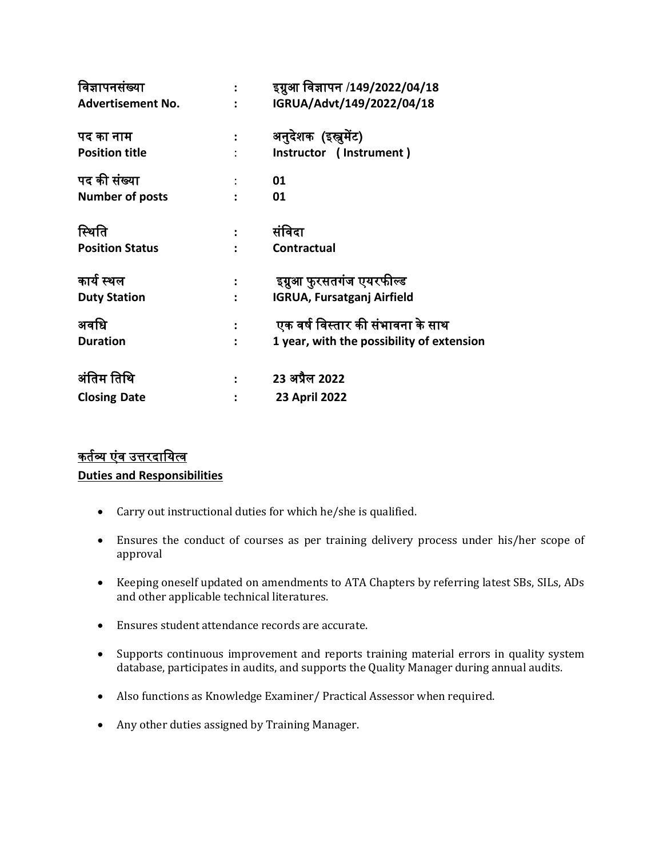|                | इग्नुआ विज्ञापन /149/2022/04/18           |
|----------------|-------------------------------------------|
|                | IGRUA/Advt/149/2022/04/18                 |
|                | अनुदेशक (इस्त्रमेंट)                      |
|                | Instructor (Instrument)                   |
|                | 01                                        |
|                | 01                                        |
|                | संविदा                                    |
|                | Contractual                               |
|                |                                           |
|                | इग्रुआ फुरसतगंज एयरफील्ड                  |
|                | <b>IGRUA, Fursatganj Airfield</b>         |
|                | एक वर्ष विस्तार की संभावना के साथ         |
| $\ddot{\cdot}$ | 1 year, with the possibility of extension |
|                | 23 अप्रैल 2022                            |
|                | 23 April 2022                             |
|                | $\ddot{\phantom{a}}$                      |

# <u>कर्तव्य एंव उत्तरदायित्व</u> **Duties and Responsibilities**

- Carry out instructional duties for which he/she is qualified.
- Ensures the conduct of courses as per training delivery process under his/her scope of approval
- Keeping oneself updated on amendments to ATA Chapters by referring latest SBs, SILs, ADs and other applicable technical literatures.
- Ensures student attendance records are accurate.
- Supports continuous improvement and reports training material errors in quality system database, participates in audits, and supports the Quality Manager during annual audits.
- Also functions as Knowledge Examiner/ Practical Assessor when required.
- Any other duties assigned by Training Manager.